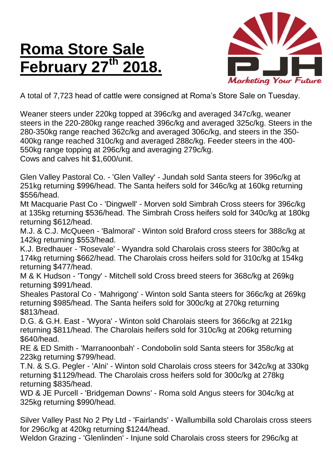## **Roma Store Sale February 27th 2018.**



A total of 7,723 head of cattle were consigned at Roma's Store Sale on Tuesday.

Weaner steers under 220kg topped at 396c/kg and averaged 347c/kg, weaner steers in the 220-280kg range reached 396c/kg and averaged 325c/kg. Steers in the 280-350kg range reached 362c/kg and averaged 306c/kg, and steers in the 350- 400kg range reached 310c/kg and averaged 288c/kg. Feeder steers in the 400- 550kg range topping at 296c/kg and averaging 279c/kg. Cows and calves hit \$1,600/unit.

Glen Valley Pastoral Co. - 'Glen Valley' - Jundah sold Santa steers for 396c/kg at 251kg returning \$996/head. The Santa heifers sold for 346c/kg at 160kg returning \$556/head.

Mt Macquarie Past Co - 'Dingwell' - Morven sold Simbrah Cross steers for 396c/kg at 135kg returning \$536/head. The Simbrah Cross heifers sold for 340c/kg at 180kg returning \$612/head.

M.J. & C.J. McQueen - 'Balmoral' - Winton sold Braford cross steers for 388c/kg at 142kg returning \$553/head.

K.J. Bredhauer - 'Rosevale' - Wyandra sold Charolais cross steers for 380c/kg at 174kg returning \$662/head. The Charolais cross heifers sold for 310c/kg at 154kg returning \$477/head.

M & K Hudson - 'Tongy' - Mitchell sold Cross breed steers for 368c/kg at 269kg returning \$991/head.

Sheales Pastoral Co - 'Mahrigong' - Winton sold Santa steers for 366c/kg at 269kg returning \$985/head. The Santa heifers sold for 300c/kg at 270kg returning \$813/head.

D.G. & G.H. East - 'Wyora' - Winton sold Charolais steers for 366c/kg at 221kg returning \$811/head. The Charolais heifers sold for 310c/kg at 206kg returning \$640/head.

RE & ED Smith - 'Marranoonbah' - Condobolin sold Santa steers for 358c/kg at 223kg returning \$799/head.

T.N. & S.G. Pegler - 'Alni' - Winton sold Charolais cross steers for 342c/kg at 330kg returning \$1129/head. The Charolais cross heifers sold for 300c/kg at 278kg returning \$835/head.

WD & JE Purcell - 'Bridgeman Downs' - Roma sold Angus steers for 304c/kg at 325kg returning \$990/head.

Silver Valley Past No 2 Pty Ltd - 'Fairlands' - Wallumbilla sold Charolais cross steers for 296c/kg at 420kg returning \$1244/head.

Weldon Grazing - 'Glenlinden' - Injune sold Charolais cross steers for 296c/kg at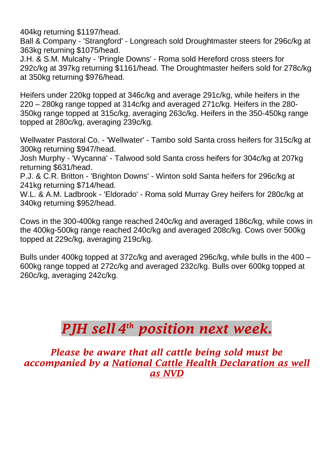404kg returning \$1197/head.

Ball & Company - 'Strangford' - Longreach sold Droughtmaster steers for 296c/kg at 363kg returning \$1075/head.

J.H. & S.M. Mulcahy - 'Pringle Downs' - Roma sold Hereford cross steers for 292c/kg at 397kg returning \$1161/head. The Droughtmaster heifers sold for 278c/kg at 350kg returning \$976/head.

Heifers under 220kg topped at 346c/kg and average 291c/kg, while heifers in the 220 – 280kg range topped at 314c/kg and averaged 271c/kg. Heifers in the 280- 350kg range topped at 315c/kg, averaging 263c/kg. Heifers in the 350-450kg range topped at 280c/kg, averaging 239c/kg.

Wellwater Pastoral Co. - 'Wellwater' - Tambo sold Santa cross heifers for 315c/kg at 300kg returning \$947/head.

Josh Murphy - 'Wycanna' - Talwood sold Santa cross heifers for 304c/kg at 207kg returning \$631/head.

P.J. & C.R. Britton - 'Brighton Downs' - Winton sold Santa heifers for 296c/kg at 241kg returning \$714/head.

W.L. & A.M. Ladbrook - 'Eldorado' - Roma sold Murray Grey heifers for 280c/kg at 340kg returning \$952/head.

Cows in the 300-400kg range reached 240c/kg and averaged 186c/kg, while cows in the 400kg-500kg range reached 240c/kg and averaged 208c/kg. Cows over 500kg topped at 229c/kg, averaging 219c/kg.

Bulls under 400kg topped at 372c/kg and averaged 296c/kg, while bulls in the 400 – 600kg range topped at 272c/kg and averaged 232c/kg. Bulls over 600kg topped at 260c/kg, averaging 242c/kg.

## *PJH sell 4 th position next week.*

*Please be aware that all cattle being sold must be accompanied by a National Cattle Health Declaration as well as NVD*